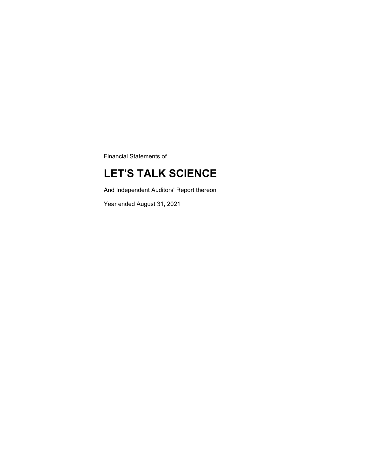Financial Statements of

# **LET'S TALK SCIENCE**

And Independent Auditors' Report thereon

Year ended August 31, 2021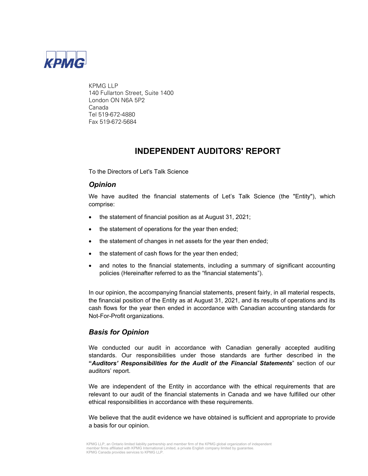

KPMG I I P 140 Fullarton Street, Suite 1400 London ON N6A 5P2 Canada Tel 519-672-4880 Fax 519-672-5684

### **INDEPENDENT AUDITORS' REPORT**

To the Directors of Let's Talk Science

### *Opinion*

We have audited the financial statements of Let's Talk Science (the "Entity"), which comprise:

- the statement of financial position as at August 31, 2021;
- the statement of operations for the year then ended;
- the statement of changes in net assets for the year then ended;
- the statement of cash flows for the year then ended;
- and notes to the financial statements, including a summary of significant accounting policies (Hereinafter referred to as the "financial statements").

In our opinion, the accompanying financial statements, present fairly, in all material respects, the financial position of the Entity as at August 31, 2021, and its results of operations and its cash flows for the year then ended in accordance with Canadian accounting standards for Not-For-Profit organizations.

#### *Basis for Opinion*

We conducted our audit in accordance with Canadian generally accepted auditing standards. Our responsibilities under those standards are further described in the **"***Auditors' Responsibilities for the Audit of the Financial Statements*" section of our auditors' report.

We are independent of the Entity in accordance with the ethical requirements that are relevant to our audit of the financial statements in Canada and we have fulfilled our other ethical responsibilities in accordance with these requirements.

We believe that the audit evidence we have obtained is sufficient and appropriate to provide a basis for our opinion.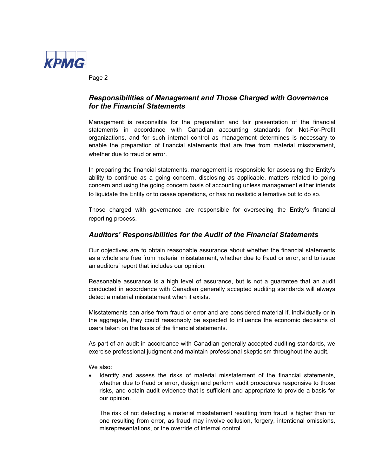

Page 2

### *Responsibilities of Management and Those Charged with Governance for the Financial Statements*

Management is responsible for the preparation and fair presentation of the financial statements in accordance with Canadian accounting standards for Not-For-Profit organizations, and for such internal control as management determines is necessary to enable the preparation of financial statements that are free from material misstatement, whether due to fraud or error.

In preparing the financial statements, management is responsible for assessing the Entity's ability to continue as a going concern, disclosing as applicable, matters related to going concern and using the going concern basis of accounting unless management either intends to liquidate the Entity or to cease operations, or has no realistic alternative but to do so.

Those charged with governance are responsible for overseeing the Entity's financial reporting process.

### *Auditors' Responsibilities for the Audit of the Financial Statements*

Our objectives are to obtain reasonable assurance about whether the financial statements as a whole are free from material misstatement, whether due to fraud or error, and to issue an auditors' report that includes our opinion.

Reasonable assurance is a high level of assurance, but is not a guarantee that an audit conducted in accordance with Canadian generally accepted auditing standards will always detect a material misstatement when it exists.

Misstatements can arise from fraud or error and are considered material if, individually or in the aggregate, they could reasonably be expected to influence the economic decisions of users taken on the basis of the financial statements.

As part of an audit in accordance with Canadian generally accepted auditing standards, we exercise professional judgment and maintain professional skepticism throughout the audit.

We also:

 Identify and assess the risks of material misstatement of the financial statements, whether due to fraud or error, design and perform audit procedures responsive to those risks, and obtain audit evidence that is sufficient and appropriate to provide a basis for our opinion.

The risk of not detecting a material misstatement resulting from fraud is higher than for one resulting from error, as fraud may involve collusion, forgery, intentional omissions, misrepresentations, or the override of internal control.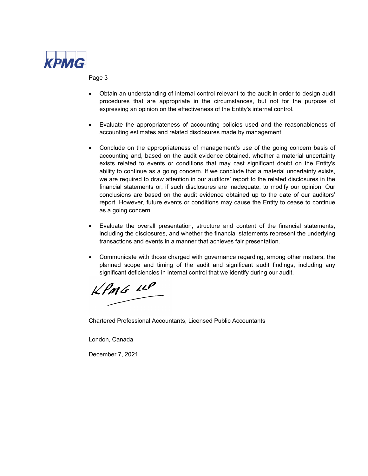

#### Page 3

- Obtain an understanding of internal control relevant to the audit in order to design audit procedures that are appropriate in the circumstances, but not for the purpose of expressing an opinion on the effectiveness of the Entity's internal control.
- Evaluate the appropriateness of accounting policies used and the reasonableness of accounting estimates and related disclosures made by management.
- Conclude on the appropriateness of management's use of the going concern basis of accounting and, based on the audit evidence obtained, whether a material uncertainty exists related to events or conditions that may cast significant doubt on the Entity's ability to continue as a going concern. If we conclude that a material uncertainty exists, we are required to draw attention in our auditors' report to the related disclosures in the financial statements or, if such disclosures are inadequate, to modify our opinion. Our conclusions are based on the audit evidence obtained up to the date of our auditors' report. However, future events or conditions may cause the Entity to cease to continue as a going concern.
- Evaluate the overall presentation, structure and content of the financial statements, including the disclosures, and whether the financial statements represent the underlying transactions and events in a manner that achieves fair presentation.
- Communicate with those charged with governance regarding, among other matters, the planned scope and timing of the audit and significant audit findings, including any significant deficiencies in internal control that we identify during our audit.

 $KPMG$  11P

Chartered Professional Accountants, Licensed Public Accountants

London, Canada

December 7, 2021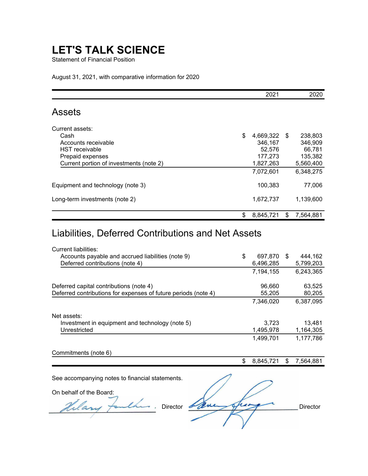Statement of Financial Position

August 31, 2021, with comparative information for 2020

|                                                                                                                                        | 2021                                                                      |      | 2020                                                              |
|----------------------------------------------------------------------------------------------------------------------------------------|---------------------------------------------------------------------------|------|-------------------------------------------------------------------|
| <b>Assets</b>                                                                                                                          |                                                                           |      |                                                                   |
| Current assets:<br>Cash<br>Accounts receivable<br><b>HST</b> receivable<br>Prepaid expenses<br>Current portion of investments (note 2) | \$<br>4,669,322<br>346,167<br>52,576<br>177,273<br>1,827,263<br>7,072,601 | - \$ | 238,803<br>346,909<br>66,781<br>135,382<br>5,560,400<br>6,348,275 |
| Equipment and technology (note 3)                                                                                                      | 100,383                                                                   |      | 77,006                                                            |
| Long-term investments (note 2)                                                                                                         | 1,672,737                                                                 |      | 1,139,600                                                         |
|                                                                                                                                        | \$<br>8,845,721                                                           | \$   | 7,564,881                                                         |

### Liabilities, Deferred Contributions and Net Assets

| <b>Current liabilities:</b>                                                                   |                  |                 |
|-----------------------------------------------------------------------------------------------|------------------|-----------------|
| Accounts payable and accrued liabilities (note 9)                                             | \$<br>697,870 \$ | 444,162         |
| Deferred contributions (note 4)                                                               | 6,496,285        | 5,799,203       |
|                                                                                               | 7,194,155        | 6,243,365       |
| Deferred capital contributions (note 4)                                                       | 96,660           | 63,525          |
| Deferred contributions for expenses of future periods (note 4)                                | 55,205           | 80,205          |
|                                                                                               | 7,346,020        | 6,387,095       |
| Net assets:                                                                                   |                  |                 |
| Investment in equipment and technology (note 5)                                               | 3,723            | 13,481          |
| Unrestricted                                                                                  | 1,495,978        | 1,164,305       |
|                                                                                               | 1,499,701        | 1,177,786       |
| Commitments (note 6)                                                                          |                  |                 |
|                                                                                               | \$<br>8,845,721  | \$<br>7,564,881 |
| See accompanying notes to financial statements.<br>On behalf of the Board:<br><b>Director</b> |                  | <b>Director</b> |
|                                                                                               |                  |                 |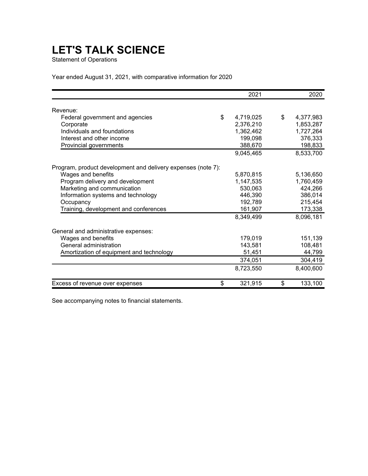Statement of Operations

Year ended August 31, 2021, with comparative information for 2020

|                                                              | 2021            | 2020            |
|--------------------------------------------------------------|-----------------|-----------------|
| Revenue:                                                     |                 |                 |
| Federal government and agencies                              | \$<br>4,719,025 | \$<br>4,377,983 |
| Corporate                                                    | 2,376,210       | 1,853,287       |
| Individuals and foundations                                  | 1,362,462       | 1,727,264       |
| Interest and other income                                    | 199,098         | 376,333         |
| Provincial governments                                       | 388,670         | 198,833         |
|                                                              | 9,045,465       | 8,533,700       |
| Program, product development and delivery expenses (note 7): |                 |                 |
| Wages and benefits                                           | 5,870,815       | 5,136,650       |
| Program delivery and development                             | 1,147,535       | 1,760,459       |
| Marketing and communication                                  | 530,063         | 424,266         |
| Information systems and technology                           | 446,390         | 386,014         |
| Occupancy                                                    | 192,789         | 215,454         |
| Training, development and conferences                        | 161,907         | 173,338         |
|                                                              | 8,349,499       | 8,096,181       |
| General and administrative expenses:                         |                 |                 |
| Wages and benefits                                           | 179,019         | 151,139         |
| General administration                                       | 143,581         | 108,481         |
| Amortization of equipment and technology                     | 51,451          | 44,799          |
|                                                              | 374,051         | 304,419         |
|                                                              | 8,723,550       | 8,400,600       |
| Excess of revenue over expenses                              | \$<br>321,915   | \$<br>133,100   |

See accompanying notes to financial statements.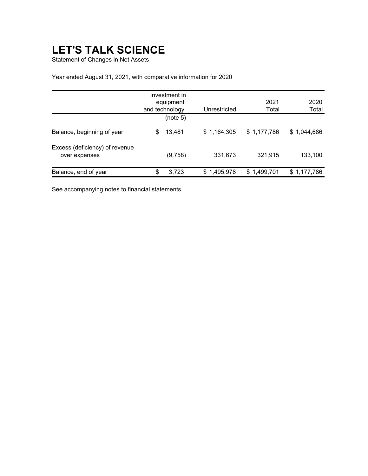Statement of Changes in Net Assets

Year ended August 31, 2021, with comparative information for 2020

|                                                 |    | Investment in<br>equipment<br>and technology | Unrestricted | 2021<br>Total | 2020<br>Total |
|-------------------------------------------------|----|----------------------------------------------|--------------|---------------|---------------|
|                                                 |    | (note 5)                                     |              |               |               |
| Balance, beginning of year                      | S  | 13,481                                       | \$1,164,305  | \$1,177,786   | \$1,044,686   |
| Excess (deficiency) of revenue<br>over expenses |    | (9,758)                                      | 331,673      | 321,915       | 133,100       |
| Balance, end of year                            | \$ | 3,723                                        | \$1,495,978  | \$1,499,701   | \$1,177,786   |

See accompanying notes to financial statements.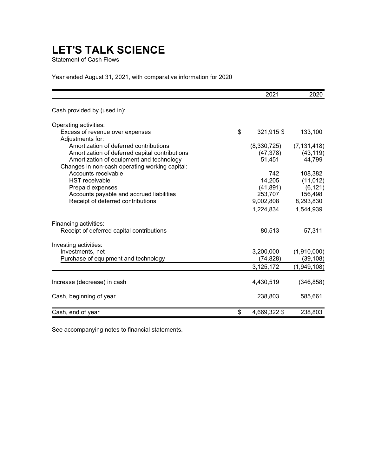Statement of Cash Flows

Year ended August 31, 2021, with comparative information for 2020

|                                                | 2021               | 2020          |
|------------------------------------------------|--------------------|---------------|
| Cash provided by (used in):                    |                    |               |
| Operating activities:                          |                    |               |
| Excess of revenue over expenses                | \$<br>321,915 \$   | 133,100       |
| Adjustments for:                               |                    |               |
| Amortization of deferred contributions         | (8,330,725)        | (7, 131, 418) |
| Amortization of deferred capital contributions | (47, 378)          | (43, 119)     |
| Amortization of equipment and technology       | 51,451             | 44,799        |
| Changes in non-cash operating working capital: |                    |               |
| Accounts receivable                            | 742                | 108,382       |
| <b>HST</b> receivable                          | 14,205             | (11, 012)     |
| Prepaid expenses                               | (41, 891)          | (6, 121)      |
| Accounts payable and accrued liabilities       | 253,707            | 156,498       |
| Receipt of deferred contributions              | 9,002,808          | 8,293,830     |
|                                                | 1,224,834          | 1,544,939     |
| Financing activities:                          |                    |               |
| Receipt of deferred capital contributions      | 80,513             | 57,311        |
| Investing activities:                          |                    |               |
| Investments, net                               | 3,200,000          | (1,910,000)   |
| Purchase of equipment and technology           | (74, 828)          | (39, 108)     |
|                                                | 3,125,172          | (1,949,108)   |
|                                                |                    |               |
| Increase (decrease) in cash                    | 4,430,519          | (346, 858)    |
| Cash, beginning of year                        | 238,803            | 585,661       |
| Cash, end of year                              | \$<br>4,669,322 \$ | 238,803       |

See accompanying notes to financial statements.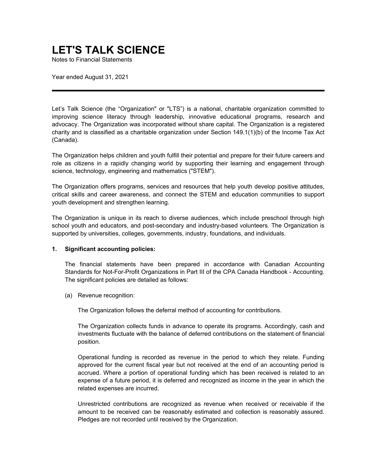Notes to Financial Statements

Year ended August 31, 2021

Let's Talk Science (the "Organization" or "LTS") is a national, charitable organization committed to improving science literacy through leadership, innovative educational programs, research and advocacy. The Organization was incorporated without share capital. The Organization is a registered charity and is classified as a charitable organization under Section 149.1(1)(b) of the Income Tax Act (Canada).

The Organization helps children and youth fulfill their potential and prepare for their future careers and role as citizens in a rapidly changing world by supporting their learning and engagement through science, technology, engineering and mathematics ("STEM").

The Organization offers programs, services and resources that help youth develop positive attitudes, critical skills and career awareness, and connect the STEM and education communities to support youth development and strengthen learning.

The Organization is unique in its reach to diverse audiences, which include preschool through high school youth and educators, and post-secondary and industry-based volunteers. The Organization is supported by universities, colleges, governments, industry, foundations, and individuals.

#### **1. Significant accounting policies:**

The financial statements have been prepared in accordance with Canadian Accounting Standards for Not-For-Profit Organizations in Part III of the CPA Canada Handbook - Accounting. The significant policies are detailed as follows:

(a) Revenue recognition:

The Organization follows the deferral method of accounting for contributions.

The Organization collects funds in advance to operate its programs. Accordingly, cash and investments fluctuate with the balance of deferred contributions on the statement of financial position.

Operational funding is recorded as revenue in the period to which they relate. Funding approved for the current fiscal year but not received at the end of an accounting period is accrued. Where a portion of operational funding which has been received is related to an expense of a future period, it is deferred and recognized as income in the year in which the related expenses are incurred.

Unrestricted contributions are recognized as revenue when received or receivable if the amount to be received can be reasonably estimated and collection is reasonably assured. Pledges are not recorded until received by the Organization.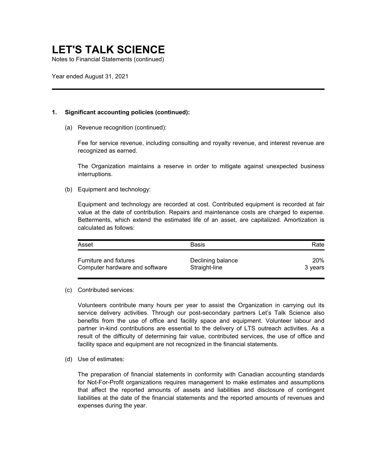Notes to Financial Statements (continued)

Year ended August 31, 2021

#### **1. Significant accounting policies (continued):**

(a) Revenue recognition (continued):

Fee for service revenue, including consulting and royalty revenue, and interest revenue are recognized as earned.

The Organization maintains a reserve in order to mitigate against unexpected business interruptions.

(b) Equipment and technology:

Equipment and technology are recorded at cost. Contributed equipment is recorded at fair value at the date of contribution. Repairs and maintenance costs are charged to expense. Betterments, which extend the estimated life of an asset, are capitalized. Amortization is calculated as follows:

| Asset                          | Basis             | Rate            |
|--------------------------------|-------------------|-----------------|
| <b>Furniture and fixtures</b>  | Declining balance | 20 <sup>%</sup> |
| Computer hardware and software | Straight-line     | 3 vears         |

(c) Contributed services:

Volunteers contribute many hours per year to assist the Organization in carrying out its service delivery activities. Through our post-secondary partners Let's Talk Science also benefits from the use of office and facility space and equipment. Volunteer labour and partner in-kind contributions are essential to the delivery of LTS outreach activities. As a result of the difficulty of determining fair value, contributed services, the use of office and facility space and equipment are not recognized in the financial statements.

(d) Use of estimates:

The preparation of financial statements in conformity with Canadian accounting standards for Not-For-Profit organizations requires management to make estimates and assumptions that affect the reported amounts of assets and liabilities and disclosure of contingent liabilities at the date of the financial statements and the reported amounts of revenues and expenses during the year.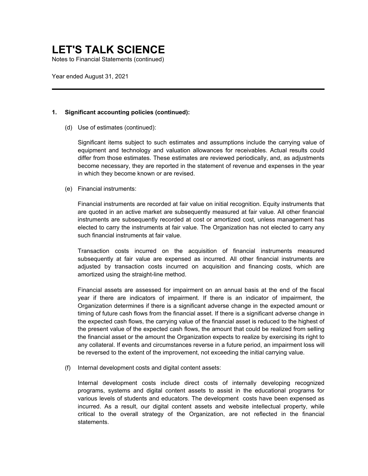Notes to Financial Statements (continued)

Year ended August 31, 2021

#### **1. Significant accounting policies (continued):**

(d) Use of estimates (continued):

Significant items subject to such estimates and assumptions include the carrying value of equipment and technology and valuation allowances for receivables. Actual results could differ from those estimates. These estimates are reviewed periodically, and, as adjustments become necessary, they are reported in the statement of revenue and expenses in the year in which they become known or are revised.

(e) Financial instruments:

Financial instruments are recorded at fair value on initial recognition. Equity instruments that are quoted in an active market are subsequently measured at fair value. All other financial instruments are subsequently recorded at cost or amortized cost, unless management has elected to carry the instruments at fair value. The Organization has not elected to carry any such financial instruments at fair value.

Transaction costs incurred on the acquisition of financial instruments measured subsequently at fair value are expensed as incurred. All other financial instruments are adjusted by transaction costs incurred on acquisition and financing costs, which are amortized using the straight-line method.

Financial assets are assessed for impairment on an annual basis at the end of the fiscal year if there are indicators of impairment. If there is an indicator of impairment, the Organization determines if there is a significant adverse change in the expected amount or timing of future cash flows from the financial asset. If there is a significant adverse change in the expected cash flows, the carrying value of the financial asset is reduced to the highest of the present value of the expected cash flows, the amount that could be realized from selling the financial asset or the amount the Organization expects to realize by exercising its right to any collateral. If events and circumstances reverse in a future period, an impairment loss will be reversed to the extent of the improvement, not exceeding the initial carrying value.

(f) Internal development costs and digital content assets:

Internal development costs include direct costs of internally developing recognized programs, systems and digital content assets to assist in the educational programs for various levels of students and educators. The development costs have been expensed as incurred. As a result, our digital content assets and website intellectual property, while critical to the overall strategy of the Organization, are not reflected in the financial statements.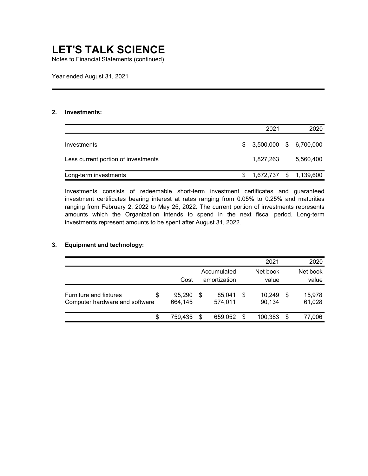Notes to Financial Statements (continued)

Year ended August 31, 2021

#### **2. Investments:**

|                                     | 2021                      | 2020                   |
|-------------------------------------|---------------------------|------------------------|
| Investments                         | $$3,500,000$ $$6,700,000$ |                        |
| Less current portion of investments | 1,827,263                 | 5,560,400              |
| Long-term investments               |                           | 1,672,737 \$ 1,139,600 |

Investments consists of redeemable short-term investment certificates and guaranteed investment certificates bearing interest at rates ranging from 0.05% to 0.25% and maturities ranging from February 2, 2022 to May 25, 2022. The current portion of investments represents amounts which the Organization intends to spend in the next fiscal period. Long-term investments represent amounts to be spent after August 31, 2022.

### **3. Equipment and technology:**

|                                                                      |                   |   |                             |   | 2021              |    | 2020              |
|----------------------------------------------------------------------|-------------------|---|-----------------------------|---|-------------------|----|-------------------|
|                                                                      | Cost              |   | Accumulated<br>amortization |   | Net book<br>value |    | Net book<br>value |
| <b>Furniture and fixtures</b><br>S<br>Computer hardware and software | 95,290<br>664,145 | S | 85.041<br>574,011           | S | 10.249<br>90,134  | S  | 15,978<br>61,028  |
| \$                                                                   | 759,435           |   | 659,052                     | S | 100,383           | \$ | 77,006            |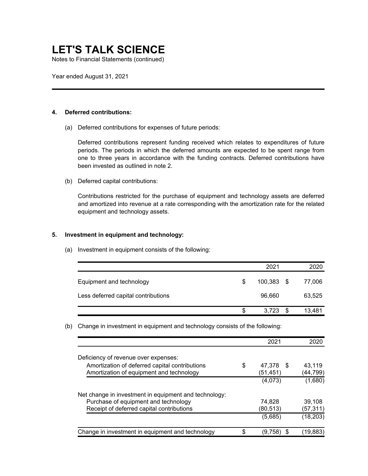Notes to Financial Statements (continued)

Year ended August 31, 2021

#### **4. Deferred contributions:**

(a) Deferred contributions for expenses of future periods:

Deferred contributions represent funding received which relates to expenditures of future periods. The periods in which the deferred amounts are expected to be spent range from one to three years in accordance with the funding contracts. Deferred contributions have been invested as outlined in note 2.

(b) Deferred capital contributions:

Contributions restricted for the purchase of equipment and technology assets are deferred and amortized into revenue at a rate corresponding with the amortization rate for the related equipment and technology assets.

#### **5. Investment in equipment and technology:**

(a) Investment in equipment consists of the following:

|                                     | 2021               |    | 2020   |
|-------------------------------------|--------------------|----|--------|
| Equipment and technology            | \$<br>$100,383$ \$ |    | 77,006 |
| Less deferred capital contributions | 96,660             |    | 63,525 |
|                                     | \$<br>3.723        | -S | 13,481 |

(b) Change in investment in equipment and technology consists of the following:

| 2021                 | 2020      |
|----------------------|-----------|
|                      |           |
|                      |           |
|                      |           |
| \$<br>47,378<br>- \$ | 43.119    |
| (51, 451)            | (44,799)  |
| (4,073)              | (1,680)   |
|                      |           |
| 74,828               | 39.108    |
| (80, 513)            | (57, 311) |
| (5,685)              | (18, 203) |
| \$<br>(9.758)        | (19,883)  |
|                      |           |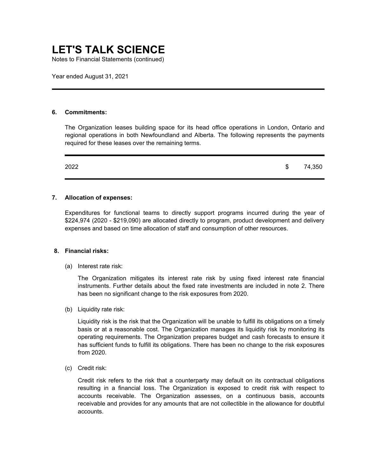Notes to Financial Statements (continued)

Year ended August 31, 2021

#### **6. Commitments:**

The Organization leases building space for its head office operations in London, Ontario and regional operations in both Newfoundland and Alberta. The following represents the payments required for these leases over the remaining terms.

| 2022 |  |  | \$74,350 |
|------|--|--|----------|
|      |  |  |          |

#### **7. Allocation of expenses:**

Expenditures for functional teams to directly support programs incurred during the year of \$224,974 (2020 - \$219,090) are allocated directly to program, product development and delivery expenses and based on time allocation of staff and consumption of other resources.

#### **8. Financial risks:**

(a) Interest rate risk:

The Organization mitigates its interest rate risk by using fixed interest rate financial instruments. Further details about the fixed rate investments are included in note 2. There has been no significant change to the risk exposures from 2020.

(b) Liquidity rate risk:

Liquidity risk is the risk that the Organization will be unable to fulfill its obligations on a timely basis or at a reasonable cost. The Organization manages its liquidity risk by monitoring its operating requirements. The Organization prepares budget and cash forecasts to ensure it has sufficient funds to fulfill its obligations. There has been no change to the risk exposures from 2020.

(c) Credit risk:

Credit risk refers to the risk that a counterparty may default on its contractual obligations resulting in a financial loss. The Organization is exposed to credit risk with respect to accounts receivable. The Organization assesses, on a continuous basis, accounts receivable and provides for any amounts that are not collectible in the allowance for doubtful accounts.